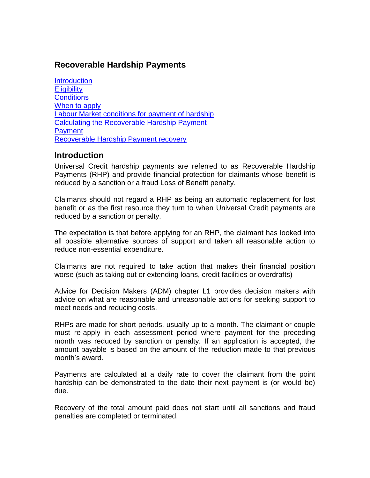#### **Recoverable Hardship Payments**

**[Introduction](#page-0-0) [Eligibility](#page-1-0) [Conditions](#page-2-0)** [When to apply](#page-2-1) [Labour Market conditions for payment of hardship](#page-3-0) [Calculating the Recoverable Hardship Payment](#page-3-1) **[Payment](#page-4-0)** [Recoverable Hardship Payment recovery](#page-4-1)

#### <span id="page-0-0"></span>**Introduction**

Universal Credit hardship payments are referred to as Recoverable Hardship Payments (RHP) and provide financial protection for claimants whose benefit is reduced by a sanction or a fraud Loss of Benefit penalty.

Claimants should not regard a RHP as being an automatic replacement for lost benefit or as the first resource they turn to when Universal Credit payments are reduced by a sanction or penalty.

The expectation is that before applying for an RHP, the claimant has looked into all possible alternative sources of support and taken all reasonable action to reduce non-essential expenditure.

Claimants are not required to take action that makes their financial position worse (such as taking out or extending loans, credit facilities or overdrafts)

Advice for Decision Makers (ADM) chapter L1 provides decision makers with advice on what are reasonable and unreasonable actions for seeking support to meet needs and reducing costs.

RHPs are made for short periods, usually up to a month. The claimant or couple must re-apply in each assessment period where payment for the preceding month was reduced by sanction or penalty. If an application is accepted, the amount payable is based on the amount of the reduction made to that previous month's award.

Payments are calculated at a daily rate to cover the claimant from the point hardship can be demonstrated to the date their next payment is (or would be) due.

Recovery of the total amount paid does not start until all sanctions and fraud penalties are completed or terminated.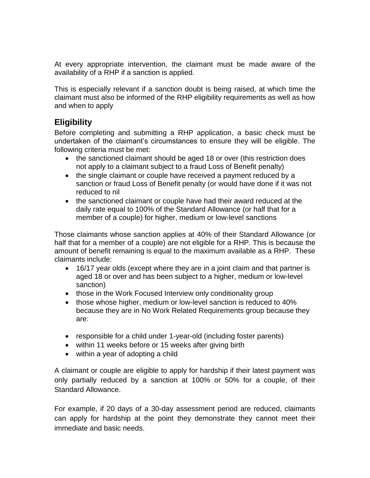At every appropriate intervention, the claimant must be made aware of the availability of a RHP if a sanction is applied.

This is especially relevant if a sanction doubt is being raised, at which time the claimant must also be informed of the RHP eligibility requirements as well as how and when to apply

## <span id="page-1-0"></span>**Eligibility**

Before completing and submitting a RHP application, a basic check must be undertaken of the claimant's circumstances to ensure they will be eligible. The following criteria must be met:

- the sanctioned claimant should be aged 18 or over (this restriction does not apply to a claimant subject to a fraud Loss of Benefit penalty)
- the single claimant or couple have received a payment reduced by a sanction or fraud Loss of Benefit penalty (or would have done if it was not reduced to nil
- the sanctioned claimant or couple have had their award reduced at the daily rate equal to 100% of the Standard Allowance (or half that for a member of a couple) for higher, medium or low-level sanctions

Those claimants whose sanction applies at 40% of their Standard Allowance (or half that for a member of a couple) are not eligible for a RHP. This is because the amount of benefit remaining is equal to the maximum available as a RHP. These claimants include:

- 16/17 year olds (except where they are in a joint claim and that partner is aged 18 or over and has been subject to a higher, medium or low-level sanction)
- those in the Work Focused Interview only conditionality group
- those whose higher, medium or low-level sanction is reduced to 40% because they are in No Work Related Requirements group because they are:
- responsible for a child under 1-year-old (including foster parents)
- within 11 weeks before or 15 weeks after giving birth
- within a year of adopting a child

A claimant or couple are eligible to apply for hardship if their latest payment was only partially reduced by a sanction at 100% or 50% for a couple, of their Standard Allowance.

For example, if 20 days of a 30-day assessment period are reduced, claimants can apply for hardship at the point they demonstrate they cannot meet their immediate and basic needs.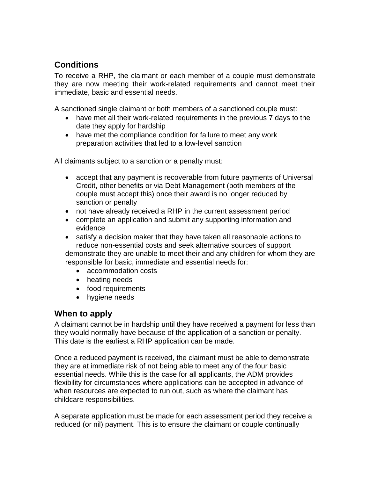# <span id="page-2-0"></span>**Conditions**

To receive a RHP, the claimant or each member of a couple must demonstrate they are now meeting their work-related requirements and cannot meet their immediate, basic and essential needs.

A sanctioned single claimant or both members of a sanctioned couple must:

- have met all their work-related requirements in the previous 7 days to the date they apply for hardship
- have met the compliance condition for failure to meet any work preparation activities that led to a low-level sanction

All claimants subject to a sanction or a penalty must:

- accept that any payment is recoverable from future payments of Universal Credit, other benefits or via Debt Management (both members of the couple must accept this) once their award is no longer reduced by sanction or penalty
- not have already received a RHP in the current assessment period
- complete an application and submit any supporting information and evidence
- satisfy a decision maker that they have taken all reasonable actions to reduce non-essential costs and seek alternative sources of support demonstrate they are unable to meet their and any children for whom they are responsible for basic, immediate and essential needs for:
	- accommodation costs
	- heating needs
	- food requirements
	- hygiene needs

## <span id="page-2-1"></span>**When to apply**

A claimant cannot be in hardship until they have received a payment for less than they would normally have because of the application of a sanction or penalty. This date is the earliest a RHP application can be made.

Once a reduced payment is received, the claimant must be able to demonstrate they are at immediate risk of not being able to meet any of the four basic essential needs. While this is the case for all applicants, the ADM provides flexibility for circumstances where applications can be accepted in advance of when resources are expected to run out, such as where the claimant has childcare responsibilities.

A separate application must be made for each assessment period they receive a reduced (or nil) payment. This is to ensure the claimant or couple continually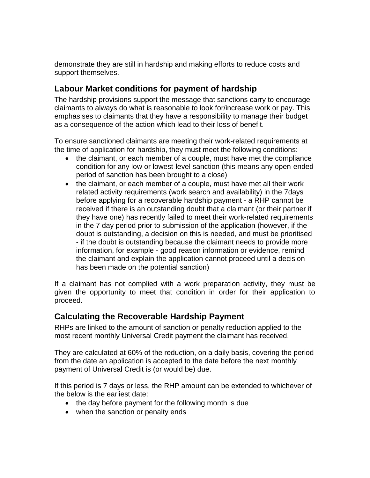demonstrate they are still in hardship and making efforts to reduce costs and support themselves.

## <span id="page-3-0"></span>**Labour Market conditions for payment of hardship**

The hardship provisions support the message that sanctions carry to encourage claimants to always do what is reasonable to look for/increase work or pay. This emphasises to claimants that they have a responsibility to manage their budget as a consequence of the action which lead to their loss of benefit.

To ensure sanctioned claimants are meeting their work-related requirements at the time of application for hardship, they must meet the following conditions:

- the claimant, or each member of a couple, must have met the compliance condition for any low or lowest-level sanction (this means any open-ended period of sanction has been brought to a close)
- the claimant, or each member of a couple, must have met all their work related activity requirements (work search and availability) in the 7days before applying for a recoverable hardship payment - a RHP cannot be received if there is an outstanding doubt that a claimant (or their partner if they have one) has recently failed to meet their work-related requirements in the 7 day period prior to submission of the application (however, if the doubt is outstanding, a decision on this is needed, and must be prioritised - if the doubt is outstanding because the claimant needs to provide more information, for example - good reason information or evidence, remind the claimant and explain the application cannot proceed until a decision has been made on the potential sanction)

If a claimant has not complied with a work preparation activity, they must be given the opportunity to meet that condition in order for their application to proceed.

## <span id="page-3-1"></span>**Calculating the Recoverable Hardship Payment**

RHPs are linked to the amount of sanction or penalty reduction applied to the most recent monthly Universal Credit payment the claimant has received.

They are calculated at 60% of the reduction, on a daily basis, covering the period from the date an application is accepted to the date before the next monthly payment of Universal Credit is (or would be) due.

If this period is 7 days or less, the RHP amount can be extended to whichever of the below is the earliest date:

- the day before payment for the following month is due
- when the sanction or penalty ends